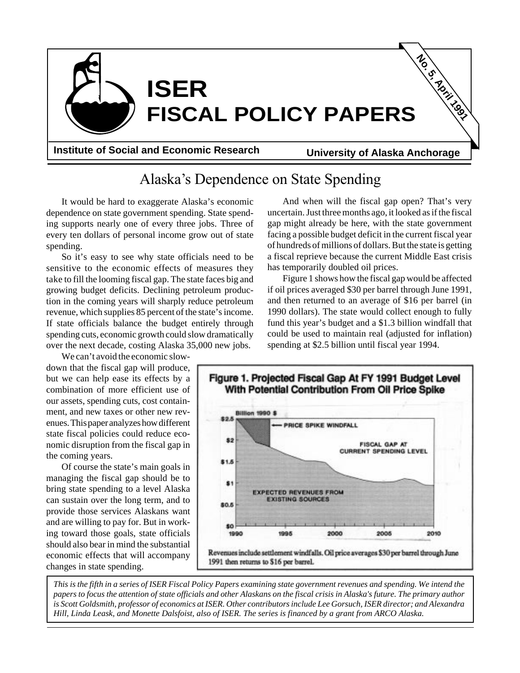

Alaska's Dependence on State Spending

It would be hard to exaggerate Alaska's economic dependence on state government spending. State spending supports nearly one of every three jobs. Three of every ten dollars of personal income grow out of state spending.

So it's easy to see why state officials need to be sensitive to the economic effects of measures they take to fill the looming fiscal gap. The state faces big and growing budget deficits. Declining petroleum production in the coming years will sharply reduce petroleum revenue, which supplies 85 percent of the state's income. If state officials balance the budget entirely through spending cuts, economic growth could slow dramatically over the next decade, costing Alaska 35,000 new jobs.

We can't avoid the economic slowdown that the fiscal gap will produce, but we can help ease its effects by a combination of more efficient use of our assets, spending cuts, cost containment, and new taxes or other new revenues. This paper analyzes how different state fiscal policies could reduce economic disruption from the fiscal gap in the coming years.

Of course the state's main goals in managing the fiscal gap should be to bring state spending to a level Alaska can sustain over the long term, and to provide those services Alaskans want and are willing to pay for. But in working toward those goals, state officials should also bear in mind the substantial economic effects that will accompany changes in state spending.

And when will the fiscal gap open? That's very uncertain. Just three months ago, it looked as if the fiscal gap might already be here, with the state government facing a possible budget deficit in the current fiscal year of hundreds of millions of dollars. But the state is getting a fiscal reprieve because the current Middle East crisis has temporarily doubled oil prices.

Figure 1 shows how the fiscal gap would be affected if oil prices averaged \$30 per barrel through June 1991, and then returned to an average of \$16 per barrel (in 1990 dollars). The state would collect enough to fully fund this year's budget and a \$1.3 billion windfall that could be used to maintain real (adjusted for inflation) spending at \$2.5 billion until fiscal year 1994.



*This is the fifth in a series of ISER Fiscal Policy Papers examining state government revenues and spending. We intend the papers to focus the attention of state officials and other Alaskans on the fiscal crisis in Alaska's future. The primary author is Scott Goldsmith, professor of economics at ISER. Other contributors include Lee Gorsuch, ISER director; and Alexandra Hill, Linda Leask, and Monette Dalsfoist, also of ISER. The series is financed by a grant from ARCO Alaska.*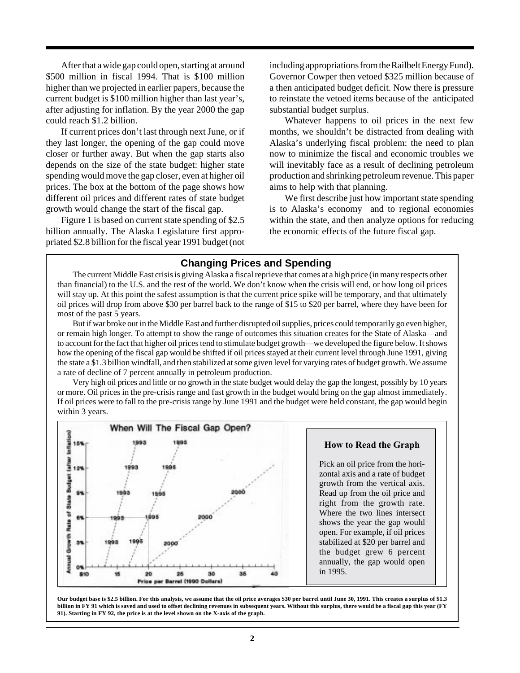After that a wide gap could open, starting at around \$500 million in fiscal 1994. That is \$100 million higher than we projected in earlier papers, because the current budget is \$100 million higher than last year's, after adjusting for inflation. By the year 2000 the gap could reach \$1.2 billion.

If current prices don't last through next June, or if they last longer, the opening of the gap could move closer or further away. But when the gap starts also depends on the size of the state budget: higher state spending would move the gap closer, even at higher oil prices. The box at the bottom of the page shows how different oil prices and different rates of state budget growth would change the start of the fiscal gap.

Figure 1 is based on current state spending of \$2.5 billion annually. The Alaska Legislature first appropriated \$2.8 billion for the fiscal year 1991 budget (not including appropriations from the Railbelt Energy Fund). Governor Cowper then vetoed \$325 million because of a then anticipated budget deficit. Now there is pressure to reinstate the vetoed items because of the anticipated substantial budget surplus.

Whatever happens to oil prices in the next few months, we shouldn't be distracted from dealing with Alaska's underlying fiscal problem: the need to plan now to minimize the fiscal and economic troubles we will inevitably face as a result of declining petroleum production and shrinking petroleum revenue. This paper aims to help with that planning.

We first describe just how important state spending is to Alaska's economy and to regional economies within the state, and then analyze options for reducing the economic effects of the future fiscal gap.

### **Changing Prices and Spending**

The current Middle East crisis is giving Alaska a fiscal reprieve that comes at a high price (in many respects other than financial) to the U.S. and the rest of the world. We don't know when the crisis will end, or how long oil prices will stay up. At this point the safest assumption is that the current price spike will be temporary, and that ultimately oil prices will drop from above \$30 per barrel back to the range of \$15 to \$20 per barrel, where they have been for most of the past 5 years.

But if war broke out in the Middle East and further disrupted oil supplies, prices could temporarily go even higher, or remain high longer. To attempt to show the range of outcomes this situation creates for the State of Alaska—and to account for the fact that higher oil prices tend to stimulate budget growth—we developed the figure below. It shows how the opening of the fiscal gap would be shifted if oil prices stayed at their current level through June 1991, giving the state a \$1.3 billion windfall, and then stabilized at some given level for varying rates of budget growth. We assume a rate of decline of 7 percent annually in petroleum production.

Very high oil prices and little or no growth in the state budget would delay the gap the longest, possibly by 10 years or more. Oil prices in the pre-crisis range and fast growth in the budget would bring on the gap almost immediately. If oil prices were to fall to the pre-crisis range by June 1991 and the budget were held constant, the gap would begin within 3 years.



#### **How to Read the Graph**

Pick an oil price from the horizontal axis and a rate of budget growth from the vertical axis. Read up from the oil price and right from the growth rate. Where the two lines intersect shows the year the gap would open. For example, if oil prices stabilized at \$20 per barrel and the budget grew 6 percent annually, the gap would open in 1995.

**Our budget base is \$2.5 billion. For this analysis, we assume that the oil price averages \$30 per barrel until June 30, 1991. This creates a surplus of \$1.3 billion in FY 91 which is saved and used to offset declining revenues in subsequent years. Without this surplus, there would be a fiscal gap this year (FY 91). Starting in FY 92, the price is at the level shown on the X-axis of the graph.**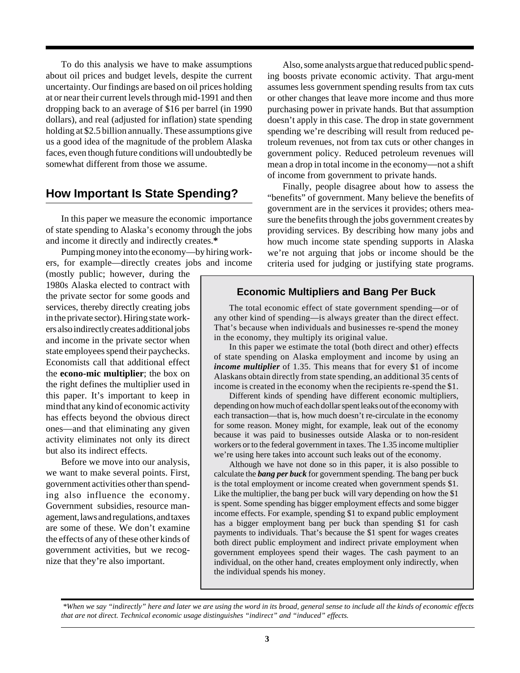To do this analysis we have to make assumptions about oil prices and budget levels, despite the current uncertainty. Our findings are based on oil prices holding at or near their current levels through mid-1991 and then dropping back to an average of \$16 per barrel (in 1990 dollars), and real (adjusted for inflation) state spending holding at \$2.5 billion annually. These assumptions give us a good idea of the magnitude of the problem Alaska faces, even though future conditions will undoubtedly be somewhat different from those we assume.

# **How Important Is State Spending?**

In this paper we measure the economic importance of state spending to Alaska's economy through the jobs and income it directly and indirectly creates.**\***

Pumping money into the economy—by hiring workers, for example—directly creates jobs and income

(mostly public; however, during the 1980s Alaska elected to contract with the private sector for some goods and services, thereby directly creating jobs in the private sector). Hiring state workers also indirectly creates additional jobs and income in the private sector when state employees spend their paychecks. Economists call that additional effect the **econo-mic multiplier**; the box on the right defines the multiplier used in this paper. It's important to keep in mind that any kind of economic activity has effects beyond the obvious direct ones—and that eliminating any given activity eliminates not only its direct but also its indirect effects.

Before we move into our analysis, we want to make several points. First, government activities other than spending also influence the economy. Government subsidies, resource management, laws and regulations, and taxes are some of these. We don't examine the effects of any of these other kinds of government activities, but we recognize that they're also important.

Also, some analysts argue that reduced public spending boosts private economic activity. That argu-ment assumes less government spending results from tax cuts or other changes that leave more income and thus more purchasing power in private hands. But that assumption doesn't apply in this case. The drop in state government spending we're describing will result from reduced petroleum revenues, not from tax cuts or other changes in government policy. Reduced petroleum revenues will mean a drop in total income in the economy—not a shift of income from government to private hands.

Finally, people disagree about how to assess the "benefits" of government. Many believe the benefits of government are in the services it provides; others measure the benefits through the jobs government creates by providing services. By describing how many jobs and how much income state spending supports in Alaska we're not arguing that jobs or income should be the criteria used for judging or justifying state programs.

### **Economic Multipliers and Bang Per Buck**

The total economic effect of state government spending—or of any other kind of spending—is always greater than the direct effect. That's because when individuals and businesses re-spend the money in the economy, they multiply its original value.

In this paper we estimate the total (both direct and other) effects of state spending on Alaska employment and income by using an *income multiplier* of 1.35. This means that for every \$1 of income Alaskans obtain directly from state spending, an additional 35 cents of income is created in the economy when the recipients re-spend the \$1.

Different kinds of spending have different economic multipliers, depending on how much of each dollar spent leaks out of the economy with each transaction—that is, how much doesn't re-circulate in the economy for some reason. Money might, for example, leak out of the economy because it was paid to businesses outside Alaska or to non-resident workers or to the federal government in taxes. The 1.35 income multiplier we're using here takes into account such leaks out of the economy.

Although we have not done so in this paper, it is also possible to calculate the *bang per buck* for government spending. The bang per buck is the total employment or income created when government spends \$1. Like the multiplier, the bang per buck will vary depending on how the \$1 is spent. Some spending has bigger employment effects and some bigger income effects. For example, spending \$1 to expand public employment has a bigger employment bang per buck than spending \$1 for cash payments to individuals. That's because the \$1 spent for wages creates both direct public employment and indirect private employment when government employees spend their wages. The cash payment to an individual, on the other hand, creates employment only indirectly, when the individual spends his money.

 *<sup>\*</sup>When we say "indirectly" here and later we are using the word in its broad, general sense to include all the kinds of economic effects that are not direct. Technical economic usage distinguishes "indirect" and "induced" effects.*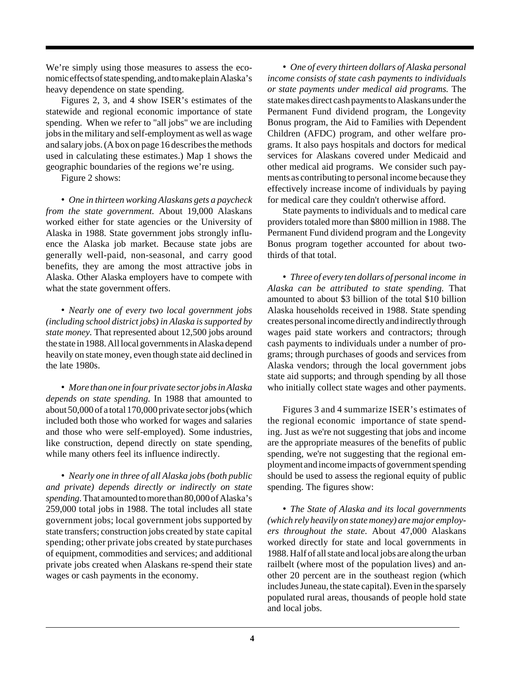We're simply using those measures to assess the economic effects of state spending, and to make plain Alaska's heavy dependence on state spending.

Figures 2, 3, and 4 show ISER's estimates of the statewide and regional economic importance of state spending. When we refer to "all jobs" we are including jobs in the military and self-employment as well as wage and salary jobs. (A box on page 16 describes the methods used in calculating these estimates.) Map 1 shows the geographic boundaries of the regions we're using.

Figure 2 shows:

• *One in thirteen working Alaskans gets a paycheck from the state government.* About 19,000 Alaskans worked either for state agencies or the University of Alaska in 1988. State government jobs strongly influence the Alaska job market. Because state jobs are generally well-paid, non-seasonal, and carry good benefits, they are among the most attractive jobs in Alaska. Other Alaska employers have to compete with what the state government offers.

• *Nearly one of every two local government jobs (including school district jobs) in Alaska is supported by state money.* That represented about 12,500 jobs around the state in 1988. All local governments in Alaska depend heavily on state money, even though state aid declined in the late 1980s.

• *More than one in four private sector jobs in Alaska depends on state spending.* In 1988 that amounted to about 50,000 of a total 170,000 private sector jobs (which included both those who worked for wages and salaries and those who were self-employed). Some industries, like construction, depend directly on state spending, while many others feel its influence indirectly.

• *Nearly one in three of all Alaska jobs (both public and private) depends directly or indirectly on state spending.* That amounted to more than 80,000 of Alaska's 259,000 total jobs in 1988. The total includes all state government jobs; local government jobs supported by state transfers; construction jobs created by state capital spending; other private jobs created by state purchases of equipment, commodities and services; and additional private jobs created when Alaskans re-spend their state wages or cash payments in the economy.

• *One of every thirteen dollars of Alaska personal income consists of state cash payments to individuals or state payments under medical aid programs.* The state makes direct cash payments to Alaskans under the Permanent Fund dividend program, the Longevity Bonus program, the Aid to Families with Dependent Children (AFDC) program, and other welfare programs. It also pays hospitals and doctors for medical services for Alaskans covered under Medicaid and other medical aid programs. We consider such payments as contributing to personal income because they effectively increase income of individuals by paying for medical care they couldn't otherwise afford.

State payments to individuals and to medical care providers totaled more than \$800 million in 1988. The Permanent Fund dividend program and the Longevity Bonus program together accounted for about twothirds of that total.

• *Three of every ten dollars of personal income in Alaska can be attributed to state spending.* That amounted to about \$3 billion of the total \$10 billion Alaska households received in 1988. State spending creates personal income directly and indirectly through wages paid state workers and contractors; through cash payments to individuals under a number of programs; through purchases of goods and services from Alaska vendors; through the local government jobs state aid supports; and through spending by all those who initially collect state wages and other payments.

Figures 3 and 4 summarize ISER's estimates of the regional economic importance of state spending. Just as we're not suggesting that jobs and income are the appropriate measures of the benefits of public spending, we're not suggesting that the regional employment and income impacts of government spending should be used to assess the regional equity of public spending. The figures show:

• *The State of Alaska and its local governments (which rely heavily on state money) are major employers throughout the state.* About 47,000 Alaskans worked directly for state and local governments in 1988. Half of all state and local jobs are along the urban railbelt (where most of the population lives) and another 20 percent are in the southeast region (which includes Juneau, the state capital). Even in the sparsely populated rural areas, thousands of people hold state and local jobs.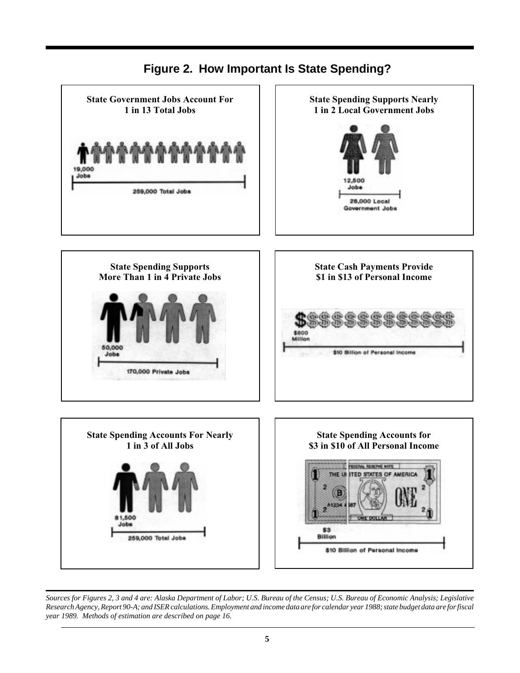

**Figure 2. How Important Is State Spending?**

*Sources for Figures 2, 3 and 4 are: Alaska Department of Labor; U.S. Bureau of the Census; U.S. Bureau of Economic Analysis; Legislative Research Agency, Report 90-A; and ISER calculations. Employment and income data are for calendar year 1988; state budget data are for fiscal year 1989. Methods of estimation are described on page 16.*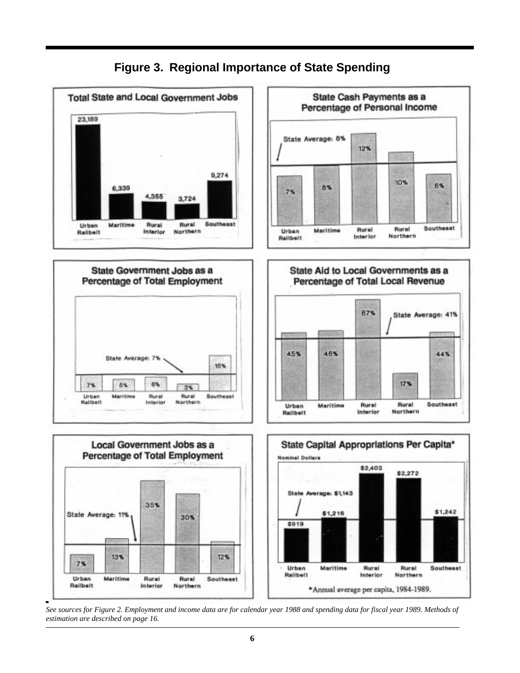

**Figure 3. Regional Importance of State Spending**

*See sources for Figure 2. Employment and income data are for calendar year 1988 and spending data for fiscal year 1989. Methods of estimation are described on page 16.*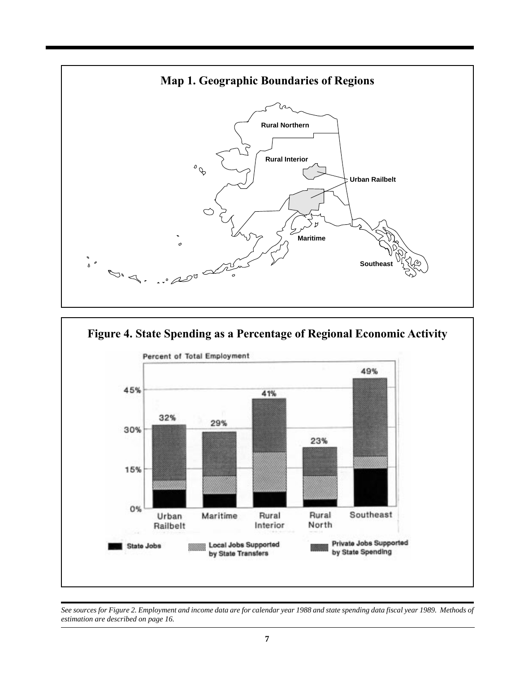



*See sources for Figure 2. Employment and income data are for calendar year 1988 and state spending data fiscal year 1989. Methods of estimation are described on page 16.*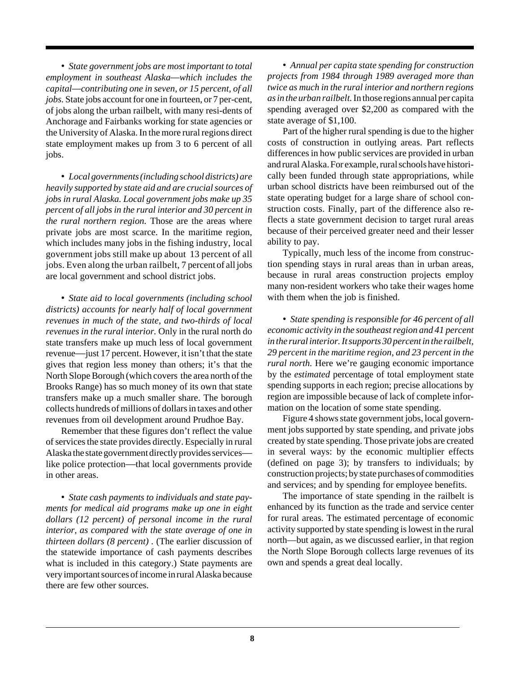• *State government jobs are most important to total employment in southeast Alaska—which includes the capital—contributing one in seven, or 15 percent, of all jobs.* State jobs account for one in fourteen, or 7 per-cent, of jobs along the urban railbelt, with many resi-dents of Anchorage and Fairbanks working for state agencies or the University of Alaska. In the more rural regions direct state employment makes up from 3 to 6 percent of all jobs.

• *Local governments (including school districts) are heavily supported by state aid and are crucial sources of jobs in rural Alaska. Local government jobs make up 35 percent of all jobs in the rural interior and 30 percent in the rural northern region.* Those are the areas where private jobs are most scarce. In the maritime region, which includes many jobs in the fishing industry, local government jobs still make up about 13 percent of all jobs. Even along the urban railbelt, 7 percent of all jobs are local government and school district jobs.

• *State aid to local governments (including school districts) accounts for nearly half of local government revenues in much of the state, and two-thirds of local revenues in the rural interior.* Only in the rural north do state transfers make up much less of local government revenue—just 17 percent. However, it isn't that the state gives that region less money than others; it's that the North Slope Borough (which covers the area north of the Brooks Range) has so much money of its own that state transfers make up a much smaller share. The borough collects hundreds of millions of dollars in taxes and other revenues from oil development around Prudhoe Bay.

Remember that these figures don't reflect the value of services the state provides directly. Especially in rural Alaska the state government directly provides services like police protection—that local governments provide in other areas.

• *State cash payments to individuals and state payments for medical aid programs make up one in eight dollars (12 percent) of personal income in the rural interior, as compared with the state average of one in thirteen dollars (8 percent) .* (The earlier discussion of the statewide importance of cash payments describes what is included in this category.) State payments are very important sources of income in rural Alaska because there are few other sources.

• *Annual per capita state spending for construction projects from 1984 through 1989 averaged more than twice as much in the rural interior and northern regions as in the urban railbelt.* In those regions annual per capita spending averaged over \$2,200 as compared with the state average of \$1,100.

Part of the higher rural spending is due to the higher costs of construction in outlying areas. Part reflects differences in how public services are provided in urban and rural Alaska. For example, rural schools have historically been funded through state appropriations, while urban school districts have been reimbursed out of the state operating budget for a large share of school construction costs. Finally, part of the difference also reflects a state government decision to target rural areas because of their perceived greater need and their lesser ability to pay.

Typically, much less of the income from construction spending stays in rural areas than in urban areas, because in rural areas construction projects employ many non-resident workers who take their wages home with them when the job is finished.

• *State spending is responsible for 46 percent of all economic activity in the southeast region and 41 percent in the rural interior.It supports 30 percent in the railbelt, 29 percent in the maritime region, and 23 percent in the rural north.* Here we're gauging economic importance by the *estimated* percentage of total employment state spending supports in each region; precise allocations by region are impossible because of lack of complete information on the location of some state spending.

Figure 4 shows state government jobs, local government jobs supported by state spending, and private jobs created by state spending. Those private jobs are created in several ways: by the economic multiplier effects (defined on page 3); by transfers to individuals; by construction projects; by state purchases of commodities and services; and by spending for employee benefits.

The importance of state spending in the railbelt is enhanced by its function as the trade and service center for rural areas. The estimated percentage of economic activity supported by state spending is lowest in the rural north—but again, as we discussed earlier, in that region the North Slope Borough collects large revenues of its own and spends a great deal locally.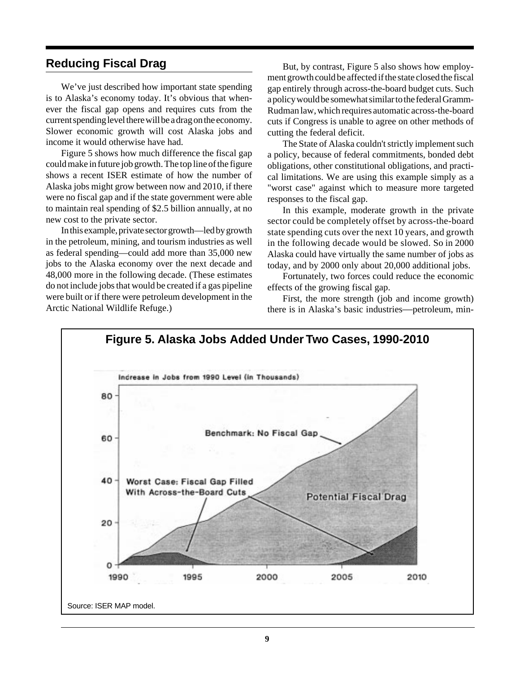# **Reducing Fiscal Drag**

We've just described how important state spending is to Alaska's economy today. It's obvious that whenever the fiscal gap opens and requires cuts from the current spending level there will be a drag on the economy. Slower economic growth will cost Alaska jobs and income it would otherwise have had.

Figure 5 shows how much difference the fiscal gap could make in future job growth. The top line of the figure shows a recent ISER estimate of how the number of Alaska jobs might grow between now and 2010, if there were no fiscal gap and if the state government were able to maintain real spending of \$2.5 billion annually, at no new cost to the private sector.

In this example, private sector growth—led by growth in the petroleum, mining, and tourism industries as well as federal spending—could add more than 35,000 new jobs to the Alaska economy over the next decade and 48,000 more in the following decade. (These estimates do not include jobs that would be created if a gas pipeline were built or if there were petroleum development in the Arctic National Wildlife Refuge.)

But, by contrast, Figure 5 also shows how employment growth could be affected if the state closed the fiscal gap entirely through across-the-board budget cuts. Such a policy would be somewhat similar to the federal Gramm-Rudman law, which requires automatic across-the-board cuts if Congress is unable to agree on other methods of cutting the federal deficit.

The State of Alaska couldn't strictly implement such a policy, because of federal commitments, bonded debt obligations, other constitutional obligations, and practical limitations. We are using this example simply as a "worst case" against which to measure more targeted responses to the fiscal gap.

In this example, moderate growth in the private sector could be completely offset by across-the-board state spending cuts over the next 10 years, and growth in the following decade would be slowed. So in 2000 Alaska could have virtually the same number of jobs as today, and by 2000 only about 20,000 additional jobs.

Fortunately, two forces could reduce the economic effects of the growing fiscal gap.

First, the more strength (job and income growth) there is in Alaska's basic industries—petroleum, min-

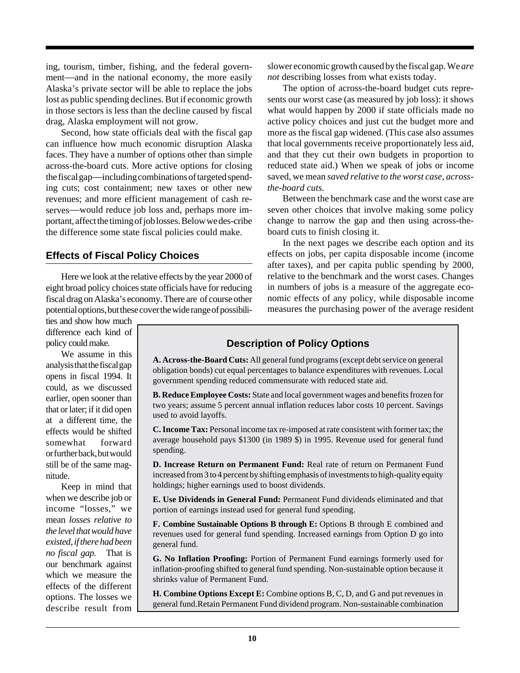ing, tourism, timber, fishing, and the federal government—and in the national economy, the more easily Alaska's private sector will be able to replace the jobs lost as public spending declines. But if economic growth in those sectors is less than the decline caused by fiscal drag, Alaska employment will not grow.

Second, how state officials deal with the fiscal gap can influence how much economic disruption Alaska faces. They have a number of options other than simple across-the-board cuts. More active options for closing the fiscal gap—including combinations of targeted spending cuts; cost containment; new taxes or other new revenues; and more efficient management of cash reserves—would reduce job loss and, perhaps more important, affect the timing of job losses. Below we des-cribe the difference some state fiscal policies could make.

## **Effects of Fiscal Policy Choices**

Here we look at the relative effects by the year 2000 of eight broad policy choices state officials have for reducing fiscal drag on Alaska's economy. There are of course other potential options, but these cover the wide range of possibili-

ties and show how much difference each kind of policy could make.

We assume in this analysis that the fiscal gap opens in fiscal 1994. It could, as we discussed earlier, open sooner than that or later; if it did open at a different time, the effects would be shifted somewhat forward or further back, but would still be of the same magnitude.

Keep in mind that when we describe job or income "losses," we mean *losses relative to the level that would have existed, if there had been no fiscal gap.* That is our benchmark against which we measure the effects of the different options. The losses we describe result from

## **Description of Policy Options**

**A. Across-the-Board Cuts:** All general fund programs (except debt service on general obligation bonds) cut equal percentages to balance expenditures with revenues. Local government spending reduced commensurate with reduced state aid.

**B. Reduce Employee Costs:** State and local government wages and benefits frozen for two years; assume 5 percent annual inflation reduces labor costs 10 percent. Savings used to avoid layoffs.

**C. Income Tax:** Personal income tax re-imposed at rate consistent with former tax; the average household pays \$1300 (in 1989 \$) in 1995. Revenue used for general fund spending.

**D. Increase Return on Permanent Fund:** Real rate of return on Permanent Fund increased from 3 to 4 percent by shifting emphasis of investments to high-quality equity holdings; higher earnings used to boost dividends.

**E. Use Dividends in General Fund:** Permanent Fund dividends eliminated and that portion of earnings instead used for general fund spending.

**F. Combine Sustainable Options B through E:** Options B through E combined and revenues used for general fund spending. Increased earnings from Option D go into general fund.

**G. No Inflation Proofing:** Portion of Permanent Fund earnings formerly used for inflation-proofing shifted to general fund spending. Non-sustainable option because it shrinks value of Permanent Fund.

**H. Combine Options Except E:** Combine options B, C, D, and G and put revenues in general fund.Retain Permanent Fund dividend program. Non-sustainable combination

slower economic growth caused by the fiscal gap. We *are not* describing losses from what exists today.

The option of across-the-board budget cuts represents our worst case (as measured by job loss): it shows what would happen by 2000 if state officials made no active policy choices and just cut the budget more and more as the fiscal gap widened. (This case also assumes that local governments receive proportionately less aid, and that they cut their own budgets in proportion to reduced state aid.) When we speak of jobs or income saved, we mean *saved relative to the worst case, acrossthe-board cuts.*

Between the benchmark case and the worst case are seven other choices that involve making some policy change to narrow the gap and then using across-theboard cuts to finish closing it.

In the next pages we describe each option and its effects on jobs, per capita disposable income (income after taxes), and per capita public spending by 2000, relative to the benchmark and the worst cases. Changes in numbers of jobs is a measure of the aggregate economic effects of any policy, while disposable income measures the purchasing power of the average resident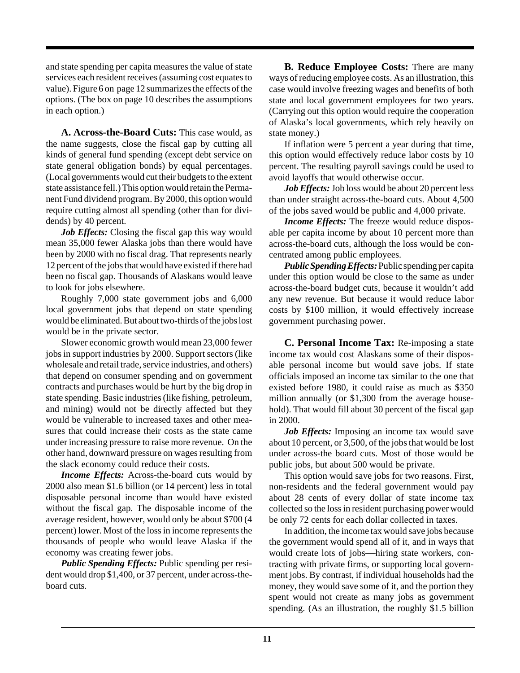and state spending per capita measures the value of state services each resident receives (assuming cost equates to value). Figure 6 on page 12 summarizes the effects of the options. (The box on page 10 describes the assumptions in each option.)

**A. Across-the-Board Cuts:** This case would, as the name suggests, close the fiscal gap by cutting all kinds of general fund spending (except debt service on state general obligation bonds) by equal percentages. (Local governments would cut their budgets to the extent state assistance fell.) This option would retain the Permanent Fund dividend program. By 2000, this option would require cutting almost all spending (other than for dividends) by 40 percent.

*Job Effects:* Closing the fiscal gap this way would mean 35,000 fewer Alaska jobs than there would have been by 2000 with no fiscal drag. That represents nearly 12 percent of the jobs that would have existed if there had been no fiscal gap. Thousands of Alaskans would leave to look for jobs elsewhere.

Roughly 7,000 state government jobs and 6,000 local government jobs that depend on state spending would be eliminated. But about two-thirds of the jobs lost would be in the private sector.

Slower economic growth would mean 23,000 fewer jobs in support industries by 2000. Support sectors (like wholesale and retail trade, service industries, and others) that depend on consumer spending and on government contracts and purchases would be hurt by the big drop in state spending. Basic industries (like fishing, petroleum, and mining) would not be directly affected but they would be vulnerable to increased taxes and other measures that could increase their costs as the state came under increasing pressure to raise more revenue. On the other hand, downward pressure on wages resulting from the slack economy could reduce their costs.

*Income Effects:* Across-the-board cuts would by 2000 also mean \$1.6 billion (or 14 percent) less in total disposable personal income than would have existed without the fiscal gap. The disposable income of the average resident, however, would only be about \$700 (4 percent) lower. Most of the loss in income represents the thousands of people who would leave Alaska if the economy was creating fewer jobs.

*Public Spending Effects:* Public spending per resident would drop \$1,400, or 37 percent, under across-theboard cuts.

**B. Reduce Employee Costs:** There are many ways of reducing employee costs. As an illustration, this case would involve freezing wages and benefits of both state and local government employees for two years. (Carrying out this option would require the cooperation of Alaska's local governments, which rely heavily on state money.)

If inflation were 5 percent a year during that time, this option would effectively reduce labor costs by 10 percent. The resulting payroll savings could be used to avoid layoffs that would otherwise occur.

Job Effects: Job loss would be about 20 percent less than under straight across-the-board cuts. About 4,500 of the jobs saved would be public and 4,000 private.

*Income Effects:* The freeze would reduce disposable per capita income by about 10 percent more than across-the-board cuts, although the loss would be concentrated among public employees.

*Public Spending Effects:* Public spending per capita under this option would be close to the same as under across-the-board budget cuts, because it wouldn't add any new revenue. But because it would reduce labor costs by \$100 million, it would effectively increase government purchasing power.

**C. Personal Income Tax:** Re-imposing a state income tax would cost Alaskans some of their disposable personal income but would save jobs. If state officials imposed an income tax similar to the one that existed before 1980, it could raise as much as \$350 million annually (or \$1,300 from the average household). That would fill about 30 percent of the fiscal gap in 2000.

*Job Effects:* Imposing an income tax would save about 10 percent, or 3,500, of the jobs that would be lost under across-the board cuts. Most of those would be public jobs, but about 500 would be private.

This option would save jobs for two reasons. First, non-residents and the federal government would pay about 28 cents of every dollar of state income tax collected so the loss in resident purchasing power would be only 72 cents for each dollar collected in taxes.

In addition, the income tax would save jobs because the government would spend all of it, and in ways that would create lots of jobs—hiring state workers, contracting with private firms, or supporting local government jobs. By contrast, if individual households had the money, they would save some of it, and the portion they spent would not create as many jobs as government spending. (As an illustration, the roughly \$1.5 billion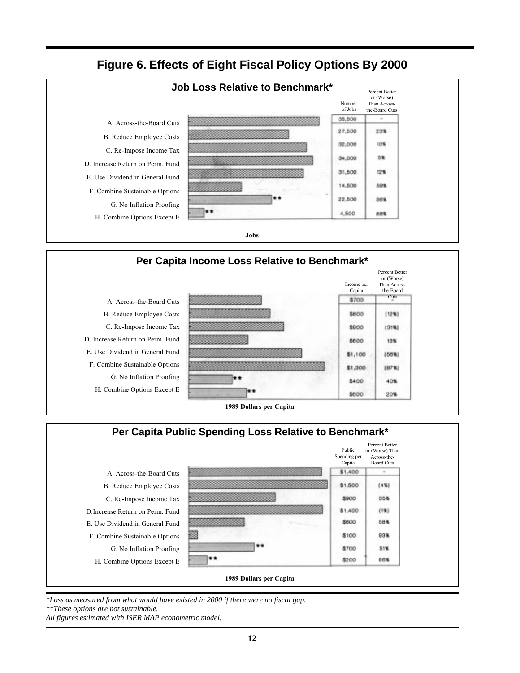**Figure 6. Effects of Eight Fiscal Policy Options By 2000**







*\*Loss as measured from what would have existed in 2000 if there were no fiscal gap.*

*\*\*These options are not sustainable.*

*All figures estimated with ISER MAP econometric model.*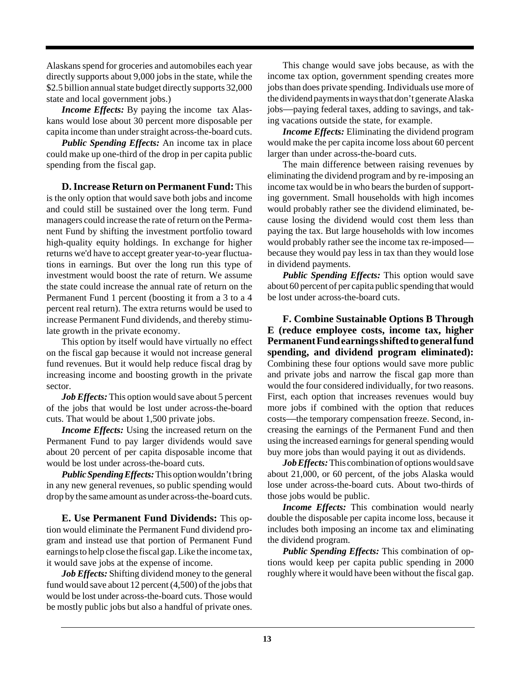Alaskans spend for groceries and automobiles each year directly supports about 9,000 jobs in the state, while the \$2.5 billion annual state budget directly supports 32,000 state and local government jobs.)

*Income Effects:* By paying the income tax Alaskans would lose about 30 percent more disposable per capita income than under straight across-the-board cuts.

*Public Spending Effects:* An income tax in place could make up one-third of the drop in per capita public spending from the fiscal gap.

**D. Increase Return on Permanent Fund:** This is the only option that would save both jobs and income and could still be sustained over the long term. Fund managers could increase the rate of return on the Permanent Fund by shifting the investment portfolio toward high-quality equity holdings. In exchange for higher returns we'd have to accept greater year-to-year fluctuations in earnings. But over the long run this type of investment would boost the rate of return. We assume the state could increase the annual rate of return on the Permanent Fund 1 percent (boosting it from a 3 to a 4 percent real return). The extra returns would be used to increase Permanent Fund dividends, and thereby stimulate growth in the private economy.

This option by itself would have virtually no effect on the fiscal gap because it would not increase general fund revenues. But it would help reduce fiscal drag by increasing income and boosting growth in the private sector.

*Job Effects:* This option would save about 5 percent of the jobs that would be lost under across-the-board cuts. That would be about 1,500 private jobs.

*Income Effects:* Using the increased return on the Permanent Fund to pay larger dividends would save about 20 percent of per capita disposable income that would be lost under across-the-board cuts.

*Public Spending Effects:*This option wouldn't bring in any new general revenues, so public spending would drop by the same amount as under across-the-board cuts.

**E. Use Permanent Fund Dividends:** This option would eliminate the Permanent Fund dividend program and instead use that portion of Permanent Fund earnings to help close the fiscal gap. Like the income tax, it would save jobs at the expense of income.

*Job Effects:* Shifting dividend money to the general fund would save about 12 percent (4,500) of the jobs that would be lost under across-the-board cuts. Those would be mostly public jobs but also a handful of private ones.

This change would save jobs because, as with the income tax option, government spending creates more jobs than does private spending. Individuals use more of the dividend payments in ways that don't generate Alaska jobs—paying federal taxes, adding to savings, and taking vacations outside the state, for example.

*Income Effects:* Eliminating the dividend program would make the per capita income loss about 60 percent larger than under across-the-board cuts.

The main difference between raising revenues by eliminating the dividend program and by re-imposing an income tax would be in who bears the burden of supporting government. Small households with high incomes would probably rather see the dividend eliminated, because losing the dividend would cost them less than paying the tax. But large households with low incomes would probably rather see the income tax re-imposed because they would pay less in tax than they would lose in dividend payments.

*Public Spending Effects:* This option would save about 60 percent of per capita public spending that would be lost under across-the-board cuts.

**F. Combine Sustainable Options B Through E (reduce employee costs, income tax, higher Permanent Fund earnings shifted to general fund spending, and dividend program eliminated):** Combining these four options would save more public and private jobs and narrow the fiscal gap more than would the four considered individually, for two reasons. First, each option that increases revenues would buy more jobs if combined with the option that reduces costs—the temporary compensation freeze. Second, increasing the earnings of the Permanent Fund and then using the increased earnings for general spending would buy more jobs than would paying it out as dividends.

*Job Effects:* This combination of options would save about 21,000, or 60 percent, of the jobs Alaska would lose under across-the-board cuts. About two-thirds of those jobs would be public.

*Income Effects:* This combination would nearly double the disposable per capita income loss, because it includes both imposing an income tax and eliminating the dividend program.

*Public Spending Effects:* This combination of options would keep per capita public spending in 2000 roughly where it would have been without the fiscal gap.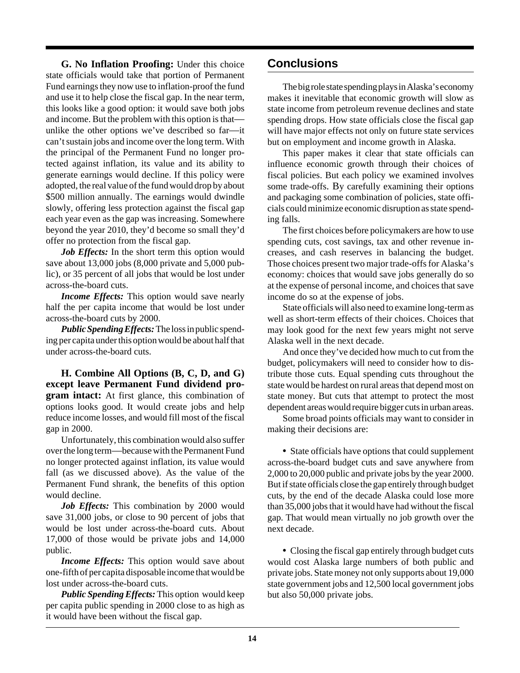**G. No Inflation Proofing:** Under this choice state officials would take that portion of Permanent Fund earnings they now use to inflation-proof the fund and use it to help close the fiscal gap. In the near term, this looks like a good option: it would save both jobs and income. But the problem with this option is that unlike the other options we've described so far—it can't sustain jobs and income over the long term. With the principal of the Permanent Fund no longer protected against inflation, its value and its ability to generate earnings would decline. If this policy were adopted, the real value of the fund would drop by about \$500 million annually. The earnings would dwindle slowly, offering less protection against the fiscal gap each year even as the gap was increasing. Somewhere beyond the year 2010, they'd become so small they'd offer no protection from the fiscal gap.

Job Effects: In the short term this option would save about 13,000 jobs (8,000 private and 5,000 public), or 35 percent of all jobs that would be lost under across-the-board cuts.

*Income Effects:* This option would save nearly half the per capita income that would be lost under across-the-board cuts by 2000.

*Public Spending Effects:*The loss in public spending per capita under this option would be about half that under across-the-board cuts.

**H. Combine All Options (B, C, D, and G) except leave Permanent Fund dividend program intact:** At first glance, this combination of options looks good. It would create jobs and help reduce income losses, and would fill most of the fiscal gap in 2000.

Unfortunately, this combination would also suffer over the long term—because with the Permanent Fund no longer protected against inflation, its value would fall (as we discussed above). As the value of the Permanent Fund shrank, the benefits of this option would decline.

*Job Effects:* This combination by 2000 would save 31,000 jobs, or close to 90 percent of jobs that would be lost under across-the-board cuts. About 17,000 of those would be private jobs and 14,000 public.

*Income Effects:* This option would save about one-fifth of per capita disposable income that would be lost under across-the-board cuts.

*Public Spending Effects:* This option would keep per capita public spending in 2000 close to as high as it would have been without the fiscal gap.

# **Conclusions**

The big role state spending plays in Alaska's economy makes it inevitable that economic growth will slow as state income from petroleum revenue declines and state spending drops. How state officials close the fiscal gap will have major effects not only on future state services but on employment and income growth in Alaska.

This paper makes it clear that state officials can influence economic growth through their choices of fiscal policies. But each policy we examined involves some trade-offs. By carefully examining their options and packaging some combination of policies, state officials could minimize economic disruption as state spending falls.

The first choices before policymakers are how to use spending cuts, cost savings, tax and other revenue increases, and cash reserves in balancing the budget. Those choices present two major trade-offs for Alaska's economy: choices that would save jobs generally do so at the expense of personal income, and choices that save income do so at the expense of jobs.

State officials will also need to examine long-term as well as short-term effects of their choices. Choices that may look good for the next few years might not serve Alaska well in the next decade.

And once they've decided how much to cut from the budget, policymakers will need to consider how to distribute those cuts. Equal spending cuts throughout the state would be hardest on rural areas that depend most on state money. But cuts that attempt to protect the most dependent areas would require bigger cuts in urban areas.

Some broad points officials may want to consider in making their decisions are:

**•** State officials have options that could supplement across-the-board budget cuts and save anywhere from 2,000 to 20,000 public and private jobs by the year 2000. But if state officials close the gap entirely through budget cuts, by the end of the decade Alaska could lose more than 35,000 jobs that it would have had without the fiscal gap. That would mean virtually no job growth over the next decade.

**•** Closing the fiscal gap entirely through budget cuts would cost Alaska large numbers of both public and private jobs. State money not only supports about 19,000 state government jobs and 12,500 local government jobs but also 50,000 private jobs.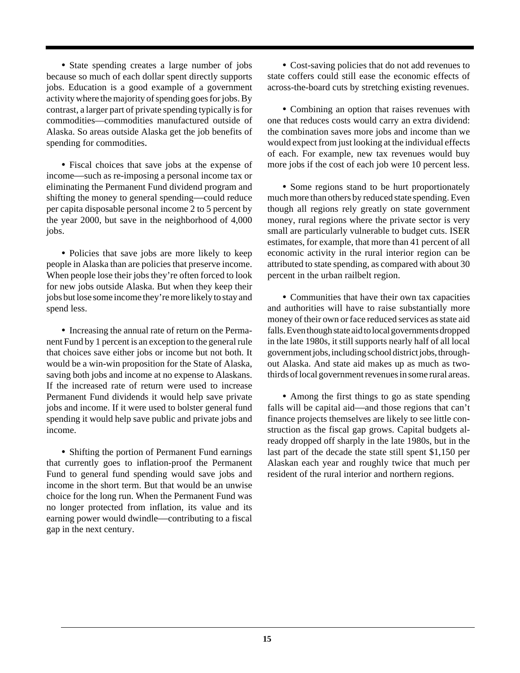**•** State spending creates a large number of jobs because so much of each dollar spent directly supports jobs. Education is a good example of a government activity where the majority of spending goes for jobs. By contrast, a larger part of private spending typically is for commodities—commodities manufactured outside of Alaska. So areas outside Alaska get the job benefits of spending for commodities.

**•** Fiscal choices that save jobs at the expense of income—such as re-imposing a personal income tax or eliminating the Permanent Fund dividend program and shifting the money to general spending—could reduce per capita disposable personal income 2 to 5 percent by the year 2000, but save in the neighborhood of 4,000 jobs.

• Policies that save jobs are more likely to keep people in Alaska than are policies that preserve income. When people lose their jobs they're often forced to look for new jobs outside Alaska. But when they keep their jobs but lose some income they're more likely to stay and spend less.

**•** Increasing the annual rate of return on the Permanent Fund by 1 percent is an exception to the general rule that choices save either jobs or income but not both. It would be a win-win proposition for the State of Alaska, saving both jobs and income at no expense to Alaskans. If the increased rate of return were used to increase Permanent Fund dividends it would help save private jobs and income. If it were used to bolster general fund spending it would help save public and private jobs and income.

**•** Shifting the portion of Permanent Fund earnings that currently goes to inflation-proof the Permanent Fund to general fund spending would save jobs and income in the short term. But that would be an unwise choice for the long run. When the Permanent Fund was no longer protected from inflation, its value and its earning power would dwindle—contributing to a fiscal gap in the next century.

**•** Cost-saving policies that do not add revenues to state coffers could still ease the economic effects of across-the-board cuts by stretching existing revenues.

**•** Combining an option that raises revenues with one that reduces costs would carry an extra dividend: the combination saves more jobs and income than we would expect from just looking at the individual effects of each. For example, new tax revenues would buy more jobs if the cost of each job were 10 percent less.

**•** Some regions stand to be hurt proportionately much more than others by reduced state spending. Even though all regions rely greatly on state government money, rural regions where the private sector is very small are particularly vulnerable to budget cuts. ISER estimates, for example, that more than 41 percent of all economic activity in the rural interior region can be attributed to state spending, as compared with about 30 percent in the urban railbelt region.

**•** Communities that have their own tax capacities and authorities will have to raise substantially more money of their own or face reduced services as state aid falls. Even though state aid to local governments dropped in the late 1980s, it still supports nearly half of all local government jobs, including school district jobs, throughout Alaska. And state aid makes up as much as twothirds of local government revenues in some rural areas.

**•** Among the first things to go as state spending falls will be capital aid—and those regions that can't finance projects themselves are likely to see little construction as the fiscal gap grows. Capital budgets already dropped off sharply in the late 1980s, but in the last part of the decade the state still spent \$1,150 per Alaskan each year and roughly twice that much per resident of the rural interior and northern regions.